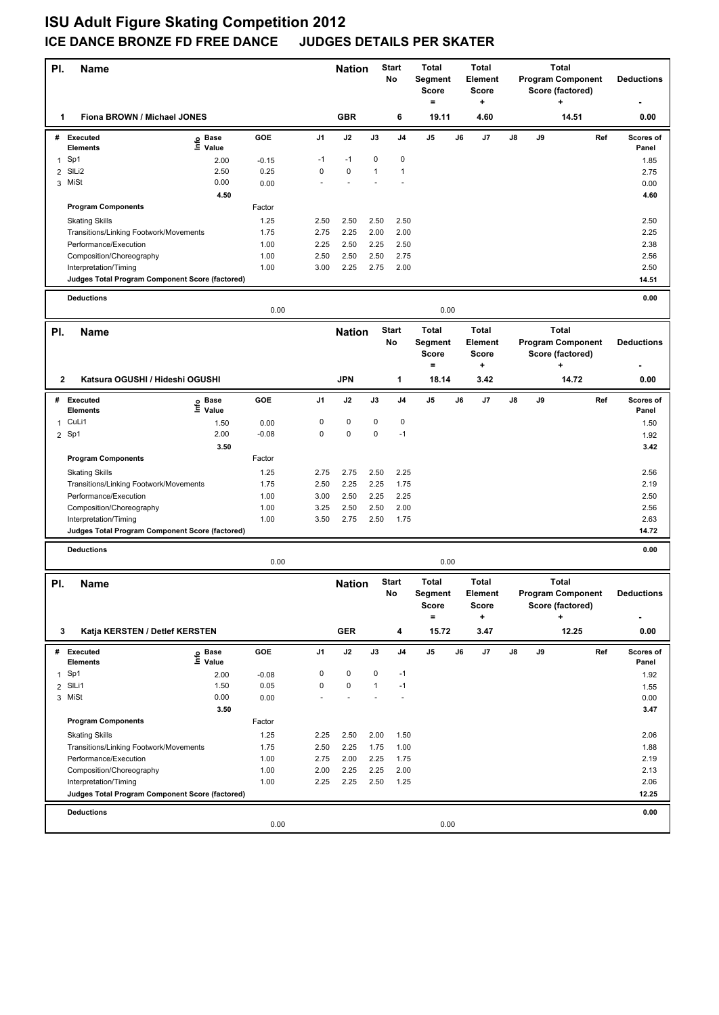## **ISU Adult Figure Skating Competition 2012 ICE DANCE BRONZE FD FREE DANCE JUDGES DETAILS PER SKATER**

| PI.            | Name                                              |                   |                 | <b>Start</b><br><b>Nation</b><br><b>No</b> |                               | <b>Total</b><br>Segment<br>Score<br>$\qquad \qquad =$ | Total<br>Element<br><b>Score</b><br>٠ |                              |                                                                                    | <b>Program Component</b><br>Score (factored) | <b>Deductions</b> |    |                          |     |                    |
|----------------|---------------------------------------------------|-------------------|-----------------|--------------------------------------------|-------------------------------|-------------------------------------------------------|---------------------------------------|------------------------------|------------------------------------------------------------------------------------|----------------------------------------------|-------------------|----|--------------------------|-----|--------------------|
| 1              | Fiona BROWN / Michael JONES                       |                   |                 |                                            | <b>GBR</b>                    |                                                       | 6                                     | 19.11                        |                                                                                    | 4.60                                         |                   |    | 14.51                    |     | 0.00               |
|                | # Executed<br>Elements                            | e Base<br>⊑ Value | GOE             | J1                                         | J2                            | J3                                                    | J <sub>4</sub>                        | J <sub>5</sub>               | J6                                                                                 | J7                                           | $\mathsf{J}8$     | J9 |                          | Ref | Scores of<br>Panel |
| $\mathbf{1}$   | Sp1                                               | 2.00              | $-0.15$         | $-1$                                       | $-1$                          | 0                                                     | $\mathbf 0$                           |                              |                                                                                    |                                              |                   |    |                          |     | 1.85               |
| $\overline{2}$ | SILi2                                             | 2.50              | 0.25            | 0                                          | $\pmb{0}$                     | $\mathbf{1}$                                          | $\mathbf{1}$                          |                              |                                                                                    |                                              |                   |    |                          |     | 2.75               |
|                | 3 MiSt                                            | 0.00              | 0.00            |                                            |                               |                                                       |                                       |                              |                                                                                    |                                              |                   |    |                          |     | 0.00               |
|                |                                                   | 4.50              |                 |                                            |                               |                                                       |                                       |                              |                                                                                    |                                              |                   |    |                          |     | 4.60               |
|                | <b>Program Components</b>                         |                   | Factor          |                                            |                               |                                                       |                                       |                              |                                                                                    |                                              |                   |    |                          |     |                    |
|                | <b>Skating Skills</b>                             |                   | 1.25            | 2.50                                       | 2.50                          | 2.50                                                  | 2.50                                  |                              |                                                                                    |                                              |                   |    |                          |     | 2.50               |
|                | Transitions/Linking Footwork/Movements            |                   | 1.75            | 2.75                                       | 2.25                          | 2.00                                                  | 2.00                                  |                              |                                                                                    |                                              |                   |    |                          |     | 2.25               |
|                | Performance/Execution                             |                   | 1.00            | 2.25                                       | 2.50                          | 2.25                                                  | 2.50                                  |                              |                                                                                    |                                              |                   |    |                          |     | 2.38               |
|                | Composition/Choreography                          |                   | 1.00            | 2.50                                       | 2.50                          | 2.50                                                  | 2.75                                  |                              |                                                                                    |                                              |                   |    |                          |     | 2.56               |
|                | Interpretation/Timing                             |                   | 1.00            | 3.00                                       | 2.25                          | 2.75                                                  | 2.00                                  |                              |                                                                                    |                                              |                   |    |                          |     | 2.50               |
|                | Judges Total Program Component Score (factored)   |                   |                 |                                            |                               |                                                       |                                       |                              |                                                                                    |                                              |                   |    |                          |     | 14.51              |
|                | <b>Deductions</b>                                 |                   |                 |                                            |                               |                                                       |                                       |                              |                                                                                    |                                              |                   |    |                          |     | 0.00               |
|                | 0.00                                              |                   |                 |                                            |                               |                                                       |                                       | 0.00                         |                                                                                    |                                              |                   |    |                          |     |                    |
| PI.            | <b>Name</b>                                       |                   |                 |                                            | <b>Start</b><br><b>Nation</b> |                                                       |                                       | <b>Total</b><br><b>Total</b> |                                                                                    |                                              |                   |    |                          |     |                    |
|                |                                                   |                   |                 |                                            |                               |                                                       | No                                    | Segment<br>Score<br>$\equiv$ | <b>Program Component</b><br>Element<br><b>Score</b><br>Score (factored)<br>٠.<br>÷ |                                              | <b>Total</b>      |    | <b>Deductions</b>        |     |                    |
| $\mathbf{2}$   | Katsura OGUSHI / Hideshi OGUSHI                   |                   |                 |                                            | <b>JPN</b>                    |                                                       | $\mathbf{1}$                          | 18.14                        |                                                                                    | 3.42                                         |                   |    | 14.72                    |     | 0.00               |
| #              | <b>Executed</b>                                   | e Base<br>⊆ Value | GOE             | J1                                         | J2                            | J3                                                    | J4                                    | J5                           | J6                                                                                 | J7                                           | J8                | J9 |                          | Ref | Scores of          |
|                | <b>Elements</b>                                   |                   |                 |                                            |                               |                                                       |                                       |                              |                                                                                    |                                              |                   |    |                          |     | Panel              |
| $\mathbf{1}$   | CuLi1<br>$2$ Sp1                                  | 1.50<br>2.00      | 0.00<br>$-0.08$ | 0<br>$\mathbf 0$                           | $\pmb{0}$<br>$\pmb{0}$        | 0<br>0                                                | 0<br>$-1$                             |                              |                                                                                    |                                              |                   |    |                          |     | 1.50               |
|                |                                                   | 3.50              |                 |                                            |                               |                                                       |                                       |                              |                                                                                    |                                              |                   |    |                          |     | 1.92<br>3.42       |
|                | <b>Program Components</b>                         |                   | Factor          |                                            |                               |                                                       |                                       |                              |                                                                                    |                                              |                   |    |                          |     |                    |
|                |                                                   |                   |                 |                                            |                               |                                                       |                                       |                              |                                                                                    |                                              |                   |    |                          |     |                    |
|                | <b>Skating Skills</b>                             |                   | 1.25            | 2.75                                       | 2.75                          | 2.50                                                  | 2.25<br>1.75                          |                              |                                                                                    |                                              |                   |    |                          |     | 2.56               |
|                | Transitions/Linking Footwork/Movements            |                   | 1.75<br>1.00    | 2.50<br>3.00                               | 2.25<br>2.50                  | 2.25                                                  | 2.25                                  |                              |                                                                                    |                                              |                   |    |                          |     | 2.19               |
|                | Performance/Execution<br>Composition/Choreography |                   | 1.00            | 3.25                                       | 2.50                          | 2.25<br>2.50                                          | 2.00                                  |                              |                                                                                    |                                              |                   |    |                          |     | 2.50<br>2.56       |
|                | Interpretation/Timing                             |                   | 1.00            | 3.50                                       | 2.75                          | 2.50                                                  | 1.75                                  |                              |                                                                                    |                                              |                   |    |                          |     | 2.63               |
|                | Judges Total Program Component Score (factored)   |                   |                 |                                            |                               |                                                       |                                       |                              |                                                                                    |                                              |                   |    |                          |     | 14.72              |
|                |                                                   |                   |                 |                                            |                               |                                                       |                                       |                              |                                                                                    |                                              |                   |    |                          |     |                    |
|                | <b>Deductions</b>                                 |                   | 0.00            |                                            |                               |                                                       |                                       | 0.00                         |                                                                                    |                                              |                   |    |                          |     | 0.00               |
|                |                                                   |                   |                 |                                            |                               |                                                       |                                       |                              |                                                                                    |                                              |                   |    |                          |     |                    |
| PI.            | <b>Name</b>                                       |                   |                 | <b>Nation</b>                              | <b>Start</b>                  |                                                       | <b>Total</b>                          |                              | <b>Total</b>                                                                       | <b>Total</b>                                 |                   |    |                          |     |                    |
|                |                                                   |                   |                 |                                            |                               | No                                                    |                                       | Segment                      |                                                                                    | Element                                      |                   |    | <b>Program Component</b> |     | <b>Deductions</b>  |
|                |                                                   |                   |                 |                                            |                               |                                                       |                                       | Score<br>$=$                 |                                                                                    | Score<br>٠                                   |                   |    | Score (factored)<br>+    |     |                    |
|                |                                                   |                   |                 |                                            |                               |                                                       |                                       |                              |                                                                                    |                                              |                   |    |                          |     |                    |
| 3              | Katja KERSTEN / Detlef KERSTEN                    |                   |                 |                                            | <b>GER</b>                    |                                                       | 4                                     | 15.72                        |                                                                                    | 3.47                                         |                   |    | 12.25                    |     | 0.00               |
|                | # Executed                                        | e Base<br>⊆ Value | <b>GOE</b>      | J1                                         | J2                            | J3                                                    | J4                                    | J5                           | J6                                                                                 | J7                                           | J8                | J9 |                          | Ref | Scores of          |
|                | <b>Elements</b>                                   |                   |                 |                                            |                               |                                                       |                                       |                              |                                                                                    |                                              |                   |    |                          |     | Panel              |
|                | 1 Sp1                                             | 2.00              | $-0.08$         | 0                                          | 0                             | 0                                                     | $-1$                                  |                              |                                                                                    |                                              |                   |    |                          |     | 1.92               |
|                | 2 SILi1                                           | 1.50              | 0.05            | 0                                          | 0                             | 1                                                     | $-1$                                  |                              |                                                                                    |                                              |                   |    |                          |     | 1.55               |
|                | 3 MiSt                                            | 0.00              | 0.00            |                                            |                               |                                                       |                                       |                              |                                                                                    |                                              |                   |    |                          |     | 0.00               |
|                |                                                   | 3.50              |                 |                                            |                               |                                                       |                                       |                              |                                                                                    |                                              |                   |    |                          |     | 3.47               |
|                | <b>Program Components</b>                         |                   | Factor          |                                            |                               |                                                       |                                       |                              |                                                                                    |                                              |                   |    |                          |     |                    |
|                | <b>Skating Skills</b>                             |                   | 1.25            | 2.25                                       | 2.50                          | 2.00                                                  | 1.50                                  |                              |                                                                                    |                                              |                   |    |                          |     | 2.06               |
|                | Transitions/Linking Footwork/Movements            |                   | 1.75            | 2.50                                       | 2.25                          | 1.75                                                  | 1.00                                  |                              |                                                                                    |                                              |                   |    |                          |     | 1.88               |
|                | Performance/Execution                             |                   | 1.00            | 2.75                                       | 2.00                          | 2.25                                                  | 1.75                                  |                              |                                                                                    |                                              |                   |    |                          |     | 2.19               |
|                | Composition/Choreography<br>Interpretation/Timing |                   | 1.00<br>1.00    | 2.00<br>2.25                               | 2.25<br>2.25                  | 2.25<br>2.50                                          | 2.00<br>1.25                          |                              |                                                                                    |                                              |                   |    |                          |     | 2.13<br>2.06       |
|                | Judges Total Program Component Score (factored)   |                   |                 |                                            |                               |                                                       |                                       |                              |                                                                                    |                                              |                   |    |                          |     | 12.25              |
|                |                                                   |                   |                 |                                            |                               |                                                       |                                       |                              |                                                                                    |                                              |                   |    |                          |     |                    |
|                | <b>Deductions</b>                                 |                   |                 |                                            |                               |                                                       |                                       |                              |                                                                                    |                                              |                   |    |                          |     | 0.00               |
|                |                                                   |                   | 0.00            |                                            |                               |                                                       |                                       | 0.00                         |                                                                                    |                                              |                   |    |                          |     |                    |